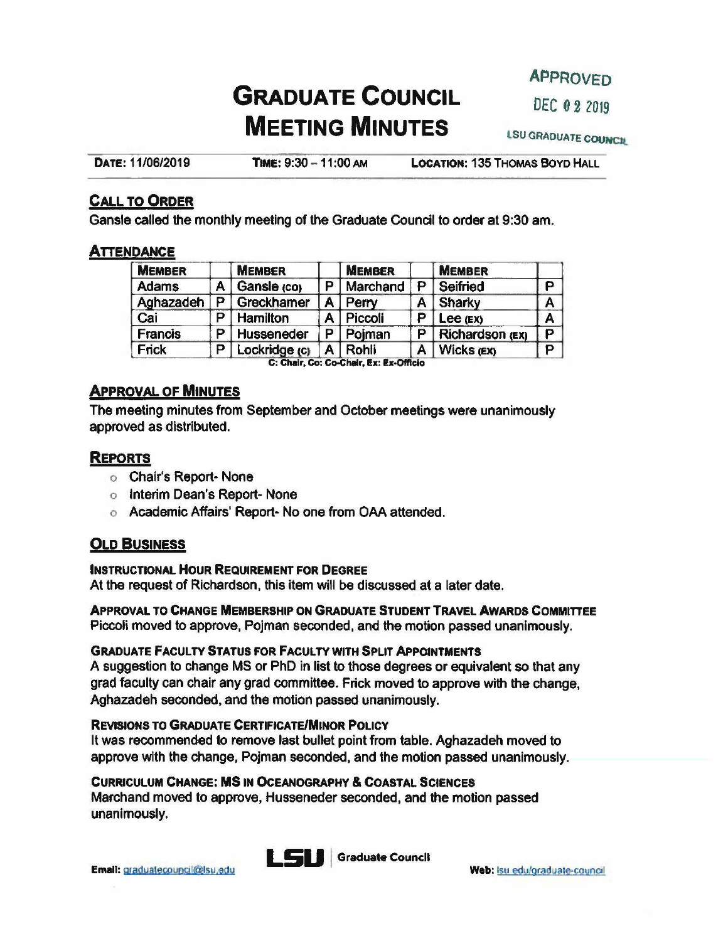# **GRADUATE COUNCIL** DEC 0 2 2019 **MEETING MINUTES**

**DATE: 11/06/2019 TIME: 9:30** - **11 :00 AM LOCATION:** 135 THOMAS Bovo HALL

## **CALL TO ORDER**

Gansle called the monthly meeting of the Graduate Council to order at 9:30 am.

### **ATTENDANCE**

| <b>MEMBER</b>  |   | <b>MEMBER</b>   |   | <b>MEMBER</b> |   | <b>MEMBER</b>   |   |
|----------------|---|-----------------|---|---------------|---|-----------------|---|
| <b>Adams</b>   |   | Gansle (co)     | D | Marchand      | D | Seifried        | O |
| Aghazadeh      | D | Greckhamer      | A | Perry         | Α | Sharky          | Α |
| Cai            | D | <b>Hamilton</b> | A | Piccoli       | D | Lee (EX)        | Α |
| <b>Francis</b> | D | Husseneder      | p | Pojman        | D | Richardson (Ex) | D |
| Frick          | D | Lockridge (c)   | A | <b>Rohli</b>  | A | Wicks (EX)      | n |

**C: Chair, Co: Co-Chair, Ex: Ex-Officio** 

## **APPROVAL OF MINUTES**

The meeting minutes from September and October meetings were unanimously approved as distributed.

## **REPORTS**

- o Chair's Report- None
- o Interim Dean's Report- None
- o Academic Affairs' Report- No one from CAA attended.

## **OLD BUSINESS**

### **INSTRUCTIONAL HOUR REQUIREMENT FOR DEGREE**

At the request of Richardson, this item will be discussed at a later date.

**APPROVAL TO CHANGE MEMBERSHIP ON GRADUATE STUDENT TRAVEL AWARDS COMMITTEE**  Piccoli moved to approve, Pojman seconded, and the motion passed unanimously.

### **GRADUATE FACULTY STATUS FOR FACULTY WITH SPLIT APPOINTMENTS**

A suggestion to change MS or PhD in list to those degrees or equivalent so that any grad faculty can chair any grad committee. Frick moved to approve with the change, Aghazadeh seconded, and the motion passed unanimously.

### **REVISIONS TO GRADUATE CERTIFICATE/MINOR POLICY**

It was recommended to remove last bullet point from table. Aghazadeh moved to approve with the change, Pojman seconded, and the motion passed unanimously.

### **CURRICULUM CHANGE: MS IN OCEANOGRAPHY** & **COASTAL SCIENCES**

Marchand moved to approve, Husseneder seconded, and the motion passed unanimously.



**LSU** Graduate Council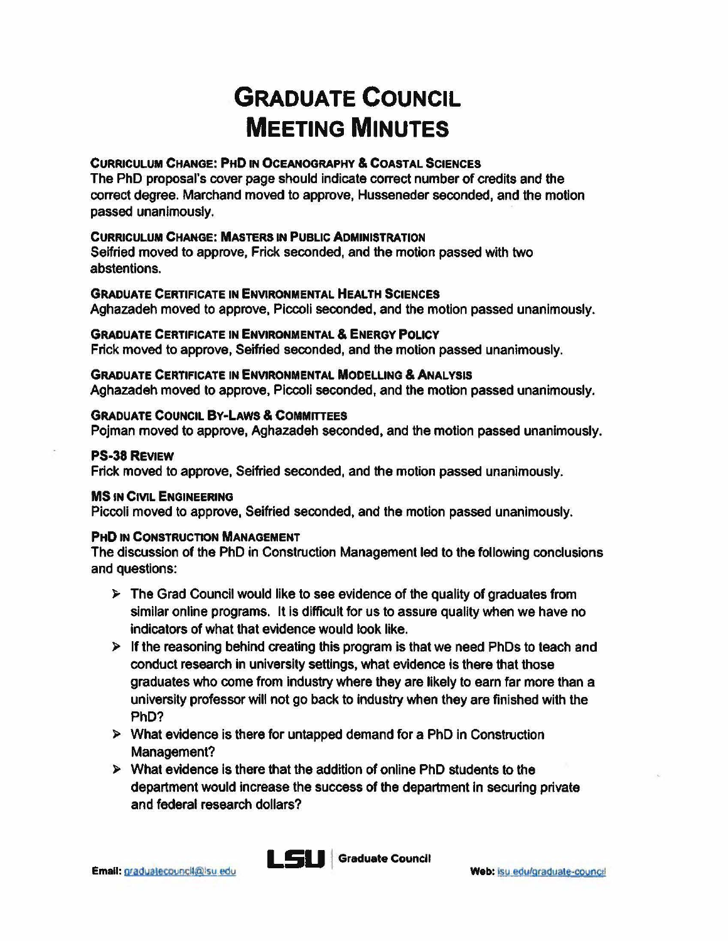## **GRADUATE COUNCIL MEETING MINUTES**

#### **CURRICULUM CHANGE: PHO IN OCEANOGRAPHY** & **COASTAL SCIENCES**

The PhD proposal's cover page should indicate correct number of credits and the correct degree. Marchand moved to approve, Husseneder seconded, and the motion passed unanimously.

### **CURRICULUM CHANGE: MASTERS IN PUBLIC ADMINISTRATION**

Seifried moved to approve, Frick seconded, and the motion passed with two abstentions.

**GRADUATE CERTIFICATE IN ENVIRONMENTAL HEALTH SCIENCES**  Aghazadeh moved to approve, Piccoli seconded, and the motion passed unanimously.

**GRADUATE CERTIFICATE IN ENVIRONMENTAL** & **ENERGY POLICY**  Frick moved to approve, Seifried seconded, and the motion passed unanimously.

**GRADUATE CERTIFICATE IN ENVIRONMENTAL MODELLING** & **ANALYSIS**  Aghazadeh moved to approve, Piccoli seconded, and the motion passed unanimously.

**GRADUATE COUNCIL BY-LAWS** & **COMMITTEES** 

Pojman moved to approve, Aghazadeh seconded, and the motion passed unanimously.

#### **PS-38 REVIEW**

Frick moved to approve, Seifried seconded, and the motion passed unanimously.

#### **MS IN CIVIL ENGINEERING**

Piccoli moved to approve, Seifried seconded, and the motion passed unanimously.

### **PHD IN CONSTRUCTION MANAGEMENT**

The discussion of the PhD in Construction Management led to the following conclusions and questions:

- $\triangleright$  The Grad Council would like to see evidence of the quality of graduates from similar online programs. It is difficult for us to assure quality when we have no indicators of what that evidence would look like.
- $\triangleright$  If the reasoning behind creating this program is that we need PhDs to teach and conduct research in university settings, what evidence is there that those graduates who come from industry where they are likely to eam far more than a university professor will not go back to industry when they are finished with the PhD?
- $\triangleright$  What evidence is there for untapped demand for a PhD in Construction Management?
- What evidence is there that the addition of online PhD students to the department would increase the success of the department in securing private and **federal** research dollars?

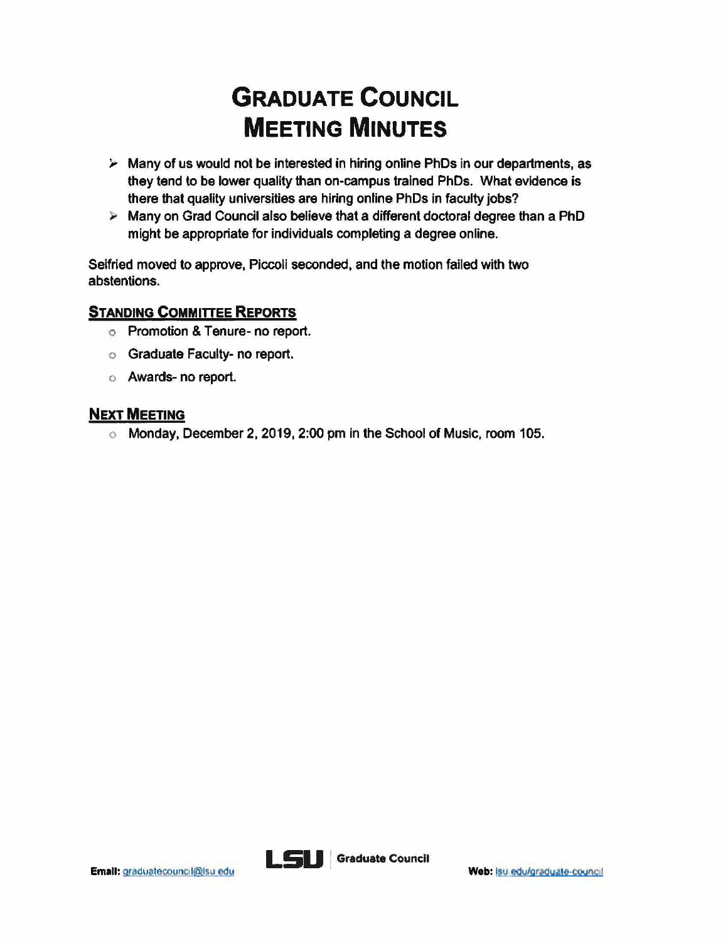## **GRADUATE COUNCIL MEETING MINUTES**

- $\triangleright$  Many of us would not be interested in hiring online PhDs in our departments, as they tend to be lower quality than on-campus trained PhDs. What evidence is there that quality universities are hiring online PhDs in faculty jobs?
- Many on Grad Council also believe that a different doctoral degree than a PhD might be appropriate for individuals completing a degree online.

Seifried moved to approve, Piccoli seconded, and the motion failed with two abstentions.

## **STANDING COMMITTEE REPORTS**

- o Promotion & Tenure- no report.
- o Graduate Faculty- no report.
- o Awards- no report.

## **NEXT MEETING**

o Monday, December 2, 2019, 2:00 pm in the School of Music, room 105.